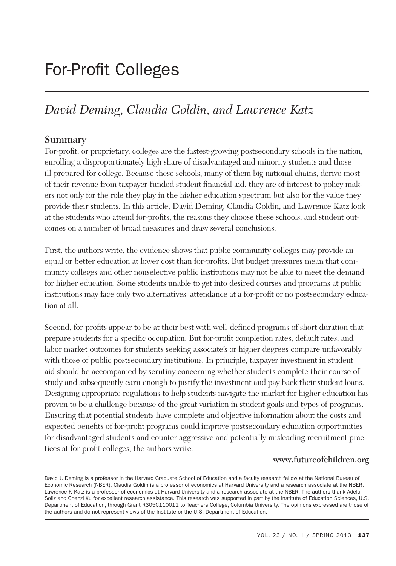# For-Profit Colleges

# *David Deming, Claudia Goldin, and Lawrence Katz*

### **Summary**

For-profit, or proprietary, colleges are the fastest-growing postsecondary schools in the nation, enrolling a disproportionately high share of disadvantaged and minority students and those ill-prepared for college. Because these schools, many of them big national chains, derive most of their revenue from taxpayer-funded student financial aid, they are of interest to policy makers not only for the role they play in the higher education spectrum but also for the value they provide their students. In this article, David Deming, Claudia Goldin, and Lawrence Katz look at the students who attend for-profits, the reasons they choose these schools, and student outcomes on a number of broad measures and draw several conclusions.

First, the authors write, the evidence shows that public community colleges may provide an equal or better education at lower cost than for-profits. But budget pressures mean that community colleges and other nonselective public institutions may not be able to meet the demand for higher education. Some students unable to get into desired courses and programs at public institutions may face only two alternatives: attendance at a for-profit or no postsecondary education at all.

Second, for-profits appear to be at their best with well-defined programs of short duration that prepare students for a specific occupation. But for-profit completion rates, default rates, and labor market outcomes for students seeking associate's or higher degrees compare unfavorably with those of public postsecondary institutions. In principle, taxpayer investment in student aid should be accompanied by scrutiny concerning whether students complete their course of study and subsequently earn enough to justify the investment and pay back their student loans. Designing appropriate regulations to help students navigate the market for higher education has proven to be a challenge because of the great variation in student goals and types of programs. Ensuring that potential students have complete and objective information about the costs and expected benefits of for-profit programs could improve postsecondary education opportunities for disadvantaged students and counter aggressive and potentially misleading recruitment practices at for-profit colleges, the authors write.

### **www.futureofchildren.org**

David J. Deming is a professor in the Harvard Graduate School of Education and a faculty research fellow at the National Bureau of Economic Research (NBER). Claudia Goldin is a professor of economics at Harvard University and a research associate at the NBER. Lawrence F. Katz is a professor of economics at Harvard University and a research associate at the NBER. The authors thank Adela Soliz and Chenzi Xu for excellent research assistance. This research was supported in part by the Institute of Education Sciences, U.S. Department of Education, through Grant R305C110011 to Teachers College, Columbia University. The opinions expressed are those of the authors and do not represent views of the Institute or the U.S. Department of Education.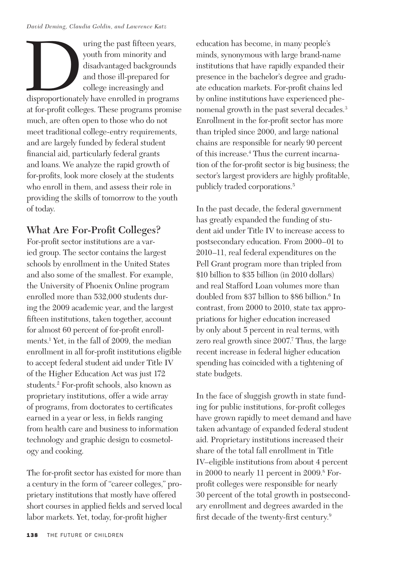uring the past fifteen years,<br>youth from minority and<br>disadvantaged backgrounds<br>and those ill-prepared for<br>college increasingly and<br>disproportionately have enrolled in programs<br>at for-profit colleges. These programs promis youth from minority and disadvantaged backgrounds and those ill-prepared for college increasingly and disproportionately have enrolled in programs at for-profit colleges. These programs promise much, are often open to those who do not meet traditional college-entry requirements, and are largely funded by federal student financial aid, particularly federal grants and loans. We analyze the rapid growth of for-profits, look more closely at the students who enroll in them, and assess their role in providing the skills of tomorrow to the youth of today.

# **What Are For-Profit Colleges?**

For-profit sector institutions are a varied group. The sector contains the largest schools by enrollment in the United States and also some of the smallest. For example, the University of Phoenix Online program enrolled more than 532,000 students during the 2009 academic year, and the largest fifteen institutions, taken together, account for almost 60 percent of for-profit enrollments.1 Yet, in the fall of 2009, the median enrollment in all for-profit institutions eligible to accept federal student aid under Title IV of the Higher Education Act was just 172 students.2 For-profit schools, also known as proprietary institutions, offer a wide array of programs, from doctorates to certificates earned in a year or less, in fields ranging from health care and business to information technology and graphic design to cosmetology and cooking.

The for-profit sector has existed for more than a century in the form of "career colleges," proprietary institutions that mostly have offered short courses in applied fields and served local labor markets. Yet, today, for-profit higher

education has become, in many people's minds, synonymous with large brand-name institutions that have rapidly expanded their presence in the bachelor's degree and graduate education markets. For-profit chains led by online institutions have experienced phenomenal growth in the past several decades.3 Enrollment in the for-profit sector has more than tripled since 2000, and large national chains are responsible for nearly 90 percent of this increase.4 Thus the current incarnation of the for-profit sector is big business; the sector's largest providers are highly profitable, publicly traded corporations.5

In the past decade, the federal government has greatly expanded the funding of student aid under Title IV to increase access to postsecondary education. From 2000–01 to 2010–11, real federal expenditures on the Pell Grant program more than tripled from \$10 billion to \$35 billion (in 2010 dollars) and real Stafford Loan volumes more than doubled from \$37 billion to \$86 billion.6 In contrast, from 2000 to 2010, state tax appropriations for higher education increased by only about 5 percent in real terms, with zero real growth since 2007.<sup>7</sup> Thus, the large recent increase in federal higher education spending has coincided with a tightening of state budgets.

In the face of sluggish growth in state funding for public institutions, for-profit colleges have grown rapidly to meet demand and have taken advantage of expanded federal student aid. Proprietary institutions increased their share of the total fall enrollment in Title IV–eligible institutions from about 4 percent in 2000 to nearly 11 percent in 2009.8 Forprofit colleges were responsible for nearly 30 percent of the total growth in postsecondary enrollment and degrees awarded in the first decade of the twenty-first century.<sup>9</sup>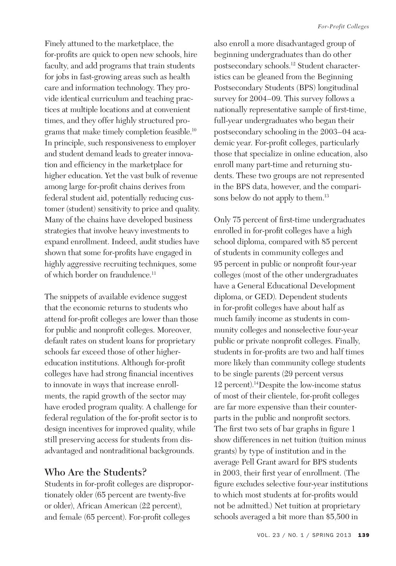Finely attuned to the marketplace, the for-profits are quick to open new schools, hire faculty, and add programs that train students for jobs in fast-growing areas such as health care and information technology. They provide identical curriculum and teaching practices at multiple locations and at convenient times, and they offer highly structured programs that make timely completion feasible.10 In principle, such responsiveness to employer and student demand leads to greater innovation and efficiency in the marketplace for higher education. Yet the vast bulk of revenue among large for-profit chains derives from federal student aid, potentially reducing customer (student) sensitivity to price and quality. Many of the chains have developed business strategies that involve heavy investments to expand enrollment. Indeed, audit studies have shown that some for-profits have engaged in highly aggressive recruiting techniques, some of which border on fraudulence.<sup>11</sup>

The snippets of available evidence suggest that the economic returns to students who attend for-profit colleges are lower than those for public and nonprofit colleges. Moreover, default rates on student loans for proprietary schools far exceed those of other highereducation institutions. Although for-profit colleges have had strong financial incentives to innovate in ways that increase enrollments, the rapid growth of the sector may have eroded program quality. A challenge for federal regulation of the for-profit sector is to design incentives for improved quality, while still preserving access for students from disadvantaged and nontraditional backgrounds.

## **Who Are the Students?**

Students in for-profit colleges are disproportionately older (65 percent are twenty-five or older), African American (22 percent), and female (65 percent). For-profit colleges

also enroll a more disadvantaged group of beginning undergraduates than do other postsecondary schools.12 Student characteristics can be gleaned from the Beginning Postsecondary Students (BPS) longitudinal survey for 2004–09. This survey follows a nationally representative sample of first-time, full-year undergraduates who began their postsecondary schooling in the 2003–04 academic year. For-profit colleges, particularly those that specialize in online education, also enroll many part-time and returning students. These two groups are not represented in the BPS data, however, and the comparisons below do not apply to them.<sup>13</sup>

Only 75 percent of first-time undergraduates enrolled in for-profit colleges have a high school diploma, compared with 85 percent of students in community colleges and 95 percent in public or nonprofit four-year colleges (most of the other undergraduates have a General Educational Development diploma, or GED). Dependent students in for-profit colleges have about half as much family income as students in community colleges and nonselective four-year public or private nonprofit colleges. Finally, students in for-profits are two and half times more likely than community college students to be single parents (29 percent versus 12 percent).14Despite the low-income status of most of their clientele, for-profit colleges are far more expensive than their counterparts in the public and nonprofit sectors. The first two sets of bar graphs in figure 1 show differences in net tuition (tuition minus grants) by type of institution and in the average Pell Grant award for BPS students in 2003, their first year of enrollment. (The figure excludes selective four-year institutions to which most students at for-profits would not be admitted.) Net tuition at proprietary schools averaged a bit more than \$5,500 in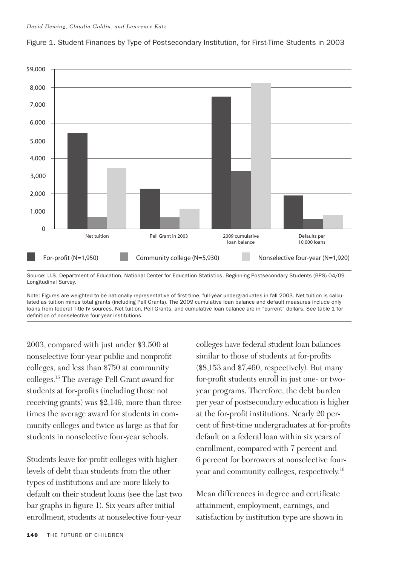

Figure 1. Student Finances by Type of Postsecondary Institution, for First-Time Students in 2003

Source: U.S. Department of Education, National Center for Education Statistics, Beginning Postsecondary Students (BPS) 04/09 Longitudinal Survey.

Note: Figures are weighted to be nationally representative of first-time, full-year undergraduates in fall 2003. Net tuition is calculated as tuition minus total grants (including Pell Grants). The 2009 cumulative loan balance and default measures include only loans from federal Title IV sources. Net tuition, Pell Grants, and cumulative loan balance are in "current" dollars. See table 1 for definition of nonselective four-year institutions.

2003, compared with just under \$3,500 at nonselective four-year public and nonprofit colleges, and less than \$750 at community colleges.15 The average Pell Grant award for students at for-profits (including those not receiving grants) was \$2,149, more than three times the average award for students in community colleges and twice as large as that for students in nonselective four-year schools.

Students leave for-profit colleges with higher levels of debt than students from the other types of institutions and are more likely to default on their student loans (see the last two bar graphs in figure 1). Six years after initial enrollment, students at nonselective four-year

colleges have federal student loan balances similar to those of students at for-profits (\$8,153 and \$7,460, respectively). But many for-profit students enroll in just one- or twoyear programs. Therefore, the debt burden per year of postsecondary education is higher at the for-profit institutions. Nearly 20 percent of first-time undergraduates at for-profits default on a federal loan within six years of enrollment, compared with 7 percent and 6 percent for borrowers at nonselective fouryear and community colleges, respectively.16

Mean differences in degree and certificate attainment, employment, earnings, and satisfaction by institution type are shown in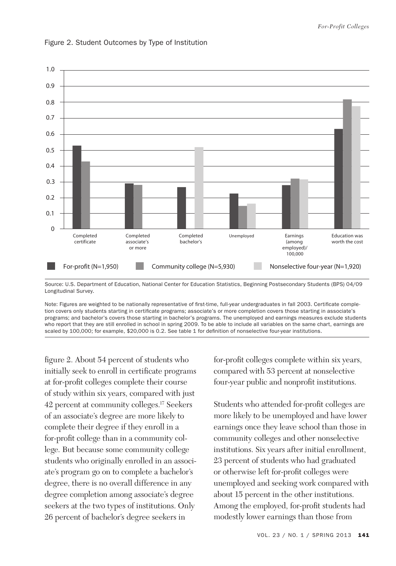

### Figure 2. Student Outcomes by Type of Institution

Note: Figures are weighted to be nationally representative of first-time, full-year undergraduates in fall 2003. Certificate completion covers only students starting in certificate programs; associate's or more completion covers those starting in associate's programs; and bachelor's covers those starting in bachelor's programs. The unemployed and earnings measures exclude students who report that they are still enrolled in school in spring 2009. To be able to include all variables on the same chart, earnings are scaled by 100,000; for example, \$20,000 is 0.2. See table 1 for definition of nonselective four-year institutions.

figure 2. About 54 percent of students who initially seek to enroll in certificate programs at for-profit colleges complete their course of study within six years, compared with just 42 percent at community colleges.17 Seekers of an associate's degree are more likely to complete their degree if they enroll in a for-profit college than in a community college. But because some community college students who originally enrolled in an associate's program go on to complete a bachelor's degree, there is no overall difference in any degree completion among associate's degree seekers at the two types of institutions. Only 26 percent of bachelor's degree seekers in

for-profit colleges complete within six years, compared with 53 percent at nonselective four-year public and nonprofit institutions.

Students who attended for-profit colleges are more likely to be unemployed and have lower earnings once they leave school than those in community colleges and other nonselective institutions. Six years after initial enrollment, 23 percent of students who had graduated or otherwise left for-profit colleges were unemployed and seeking work compared with about 15 percent in the other institutions. Among the employed, for-profit students had modestly lower earnings than those from

Source: U.S. Department of Education, National Center for Education Statistics, Beginning Postsecondary Students (BPS) 04/09 Longitudinal Survey.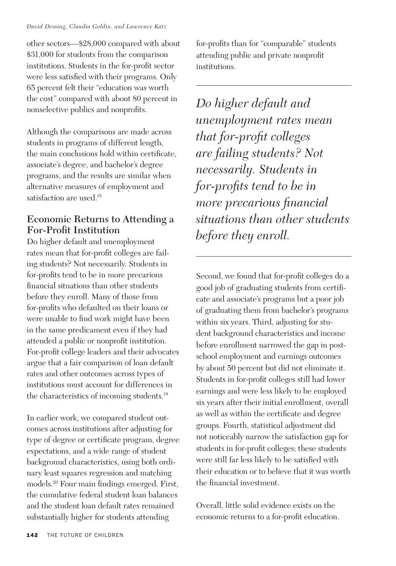#### *David Deming, Claudia Goldin, and Lawrence Katz*

other sectors—\$28,000 compared with about \$31,000 for students from the comparison institutions. Students in the for-profit sector were less satisfied with their programs. Only 65 percent felt their "education was worth the cost" compared with about 80 percent in nonselective publics and nonprofits.

Although the comparisons are made across students in programs of different length, the main conclusions hold within certificate, associate's degree, and bachelor's degree programs, and the results are similar when alternative measures of employment and satisfaction are used.<sup>18</sup>

# **Economic Returns to Attending a For-Profit Institution**

Do higher default and unemployment rates mean that for-profit colleges are failing students? Not necessarily. Students in for-profits tend to be in more precarious financial situations than other students before they enroll. Many of those from for-profits who defaulted on their loans or were unable to find work might have been in the same predicament even if they had attended a public or nonprofit institution. For-profit college leaders and their advocates argue that a fair comparison of loan default rates and other outcomes across types of institutions must account for differences in the characteristics of incoming students.19

In earlier work, we compared student outcomes across institutions after adjusting for type of degree or certificate program, degree expectations, and a wide range of student background characteristics, using both ordinary least squares regression and matching models.20 Four main findings emerged. First, the cumulative federal student loan balances and the student loan default rates remained substantially higher for students attending

for-profits than for "comparable" students attending public and private nonprofit institutions.

*Do higher default and unemployment rates mean that for-profit colleges are failing students? Not necessarily. Students in for-profits tend to be in more precarious financial situations than other students before they enroll.*

Second, we found that for-profit colleges do a good job of graduating students from certificate and associate's programs but a poor job of graduating them from bachelor's programs within six years. Third, adjusting for student background characteristics and income before enrollment narrowed the gap in postschool employment and earnings outcomes by about 50 percent but did not eliminate it. Students in for-profit colleges still had lower earnings and were less likely to be employed six years after their initial enrollment, overall as well as within the certificate and degree groups. Fourth, statistical adjustment did not noticeably narrow the satisfaction gap for students in for-profit colleges; these students were still far less likely to be satisfied with their education or to believe that it was worth the financial investment.

Overall, little solid evidence exists on the economic returns to a for-profit education.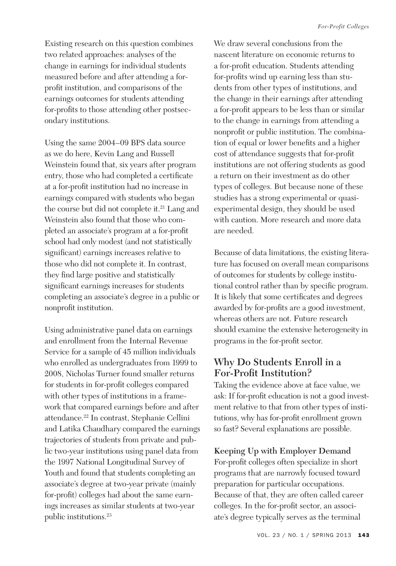Existing research on this question combines two related approaches: analyses of the change in earnings for individual students measured before and after attending a forprofit institution, and comparisons of the earnings outcomes for students attending for-profits to those attending other postsecondary institutions.

Using the same 2004–09 BPS data source as we do here, Kevin Lang and Russell Weinstein found that, six years after program entry, those who had completed a certificate at a for-profit institution had no increase in earnings compared with students who began the course but did not complete it.<sup>21</sup> Lang and Weinstein also found that those who completed an associate's program at a for-profit school had only modest (and not statistically significant) earnings increases relative to those who did not complete it. In contrast, they find large positive and statistically significant earnings increases for students completing an associate's degree in a public or nonprofit institution.

Using administrative panel data on earnings and enrollment from the Internal Revenue Service for a sample of 45 million individuals who enrolled as undergraduates from 1999 to 2008, Nicholas Turner found smaller returns for students in for-profit colleges compared with other types of institutions in a framework that compared earnings before and after attendance.22 In contrast, Stephanie Cellini and Latika Chaudhary compared the earnings trajectories of students from private and public two-year institutions using panel data from the 1997 National Longitudinal Survey of Youth and found that students completing an associate's degree at two-year private (mainly for-profit) colleges had about the same earnings increases as similar students at two-year public institutions.<sup>23</sup>

We draw several conclusions from the nascent literature on economic returns to a for-profit education. Students attending for-profits wind up earning less than students from other types of institutions, and the change in their earnings after attending a for-profit appears to be less than or similar to the change in earnings from attending a nonprofit or public institution. The combination of equal or lower benefits and a higher cost of attendance suggests that for-profit institutions are not offering students as good a return on their investment as do other types of colleges. But because none of these studies has a strong experimental or quasiexperimental design, they should be used with caution. More research and more data are needed.

Because of data limitations, the existing literature has focused on overall mean comparisons of outcomes for students by college institutional control rather than by specific program. It is likely that some certificates and degrees awarded by for-profits are a good investment, whereas others are not. Future research should examine the extensive heterogeneity in programs in the for-profit sector.

# **Why Do Students Enroll in a For-Profit Institution?**

Taking the evidence above at face value, we ask: If for-profit education is not a good investment relative to that from other types of institutions, why has for-profit enrollment grown so fast? Several explanations are possible.

### **Keeping Up with Employer Demand**

For-profit colleges often specialize in short programs that are narrowly focused toward preparation for particular occupations. Because of that, they are often called career colleges. In the for-profit sector, an associate's degree typically serves as the terminal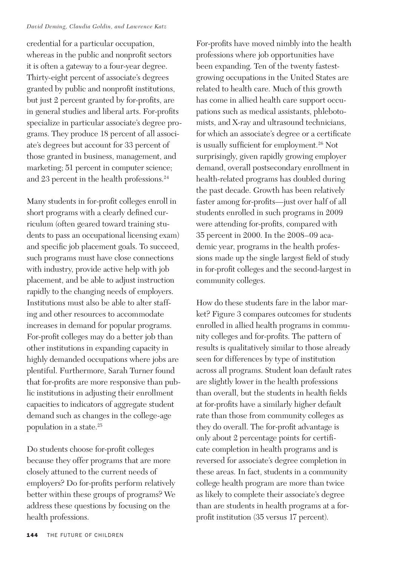credential for a particular occupation, whereas in the public and nonprofit sectors it is often a gateway to a four-year degree. Thirty-eight percent of associate's degrees granted by public and nonprofit institutions, but just 2 percent granted by for-profits, are in general studies and liberal arts. For-profits specialize in particular associate's degree programs. They produce 18 percent of all associate's degrees but account for 33 percent of those granted in business, management, and marketing; 51 percent in computer science; and 23 percent in the health professions.<sup>24</sup>

Many students in for-profit colleges enroll in short programs with a clearly defined curriculum (often geared toward training students to pass an occupational licensing exam) and specific job placement goals. To succeed, such programs must have close connections with industry, provide active help with job placement, and be able to adjust instruction rapidly to the changing needs of employers. Institutions must also be able to alter staffing and other resources to accommodate increases in demand for popular programs. For-profit colleges may do a better job than other institutions in expanding capacity in highly demanded occupations where jobs are plentiful. Furthermore, Sarah Turner found that for-profits are more responsive than public institutions in adjusting their enrollment capacities to indicators of aggregate student demand such as changes in the college-age population in a state.<sup>25</sup>

Do students choose for-profit colleges because they offer programs that are more closely attuned to the current needs of employers? Do for-profits perform relatively better within these groups of programs? We address these questions by focusing on the health professions.

For-profits have moved nimbly into the health professions where job opportunities have been expanding. Ten of the twenty fastestgrowing occupations in the United States are related to health care. Much of this growth has come in allied health care support occupations such as medical assistants, phlebotomists, and X-ray and ultrasound technicians, for which an associate's degree or a certificate is usually sufficient for employment.<sup>26</sup> Not surprisingly, given rapidly growing employer demand, overall postsecondary enrollment in health-related programs has doubled during the past decade. Growth has been relatively faster among for-profits—just over half of all students enrolled in such programs in 2009 were attending for-profits, compared with 35 percent in 2000. In the 2008–09 academic year, programs in the health professions made up the single largest field of study in for-profit colleges and the second-largest in community colleges.

How do these students fare in the labor market? Figure 3 compares outcomes for students enrolled in allied health programs in community colleges and for-profits. The pattern of results is qualitatively similar to those already seen for differences by type of institution across all programs. Student loan default rates are slightly lower in the health professions than overall, but the students in health fields at for-profits have a similarly higher default rate than those from community colleges as they do overall. The for-profit advantage is only about 2 percentage points for certificate completion in health programs and is reversed for associate's degree completion in these areas. In fact, students in a community college health program are more than twice as likely to complete their associate's degree than are students in health programs at a forprofit institution (35 versus 17 percent).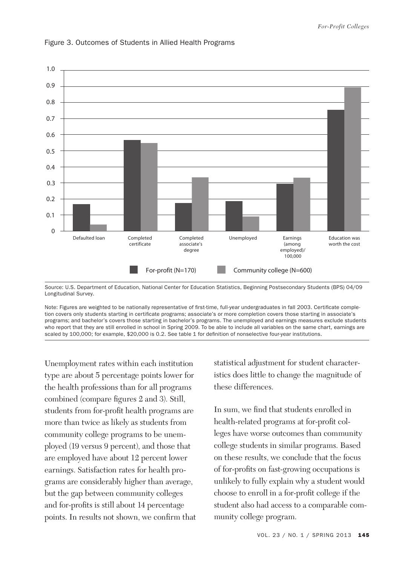

#### Figure 3. Outcomes of Students in Allied Health Programs

Source: U.S. Department of Education, National Center for Education Statistics, Beginning Postsecondary Students (BPS) 04/09 Longitudinal Survey.

Note: Figures are weighted to be nationally representative of first-time, full-year undergraduates in fall 2003. Certificate completion covers only students starting in certificate programs; associate's or more completion covers those starting in associate's programs; and bachelor's covers those starting in bachelor's programs. The unemployed and earnings measures exclude students who report that they are still enrolled in school in Spring 2009. To be able to include all variables on the same chart, earnings are scaled by 100,000; for example, \$20,000 is 0.2. See table 1 for definition of nonselective four-year institutions.

Unemployment rates within each institution type are about 5 percentage points lower for the health professions than for all programs combined (compare figures 2 and 3). Still, students from for-profit health programs are more than twice as likely as students from community college programs to be unemployed (19 versus 9 percent), and those that are employed have about 12 percent lower earnings. Satisfaction rates for health programs are considerably higher than average, but the gap between community colleges and for-profits is still about 14 percentage points. In results not shown, we confirm that statistical adjustment for student characteristics does little to change the magnitude of these differences.

In sum, we find that students enrolled in health-related programs at for-profit colleges have worse outcomes than community college students in similar programs. Based on these results, we conclude that the focus of for-profits on fast-growing occupations is unlikely to fully explain why a student would choose to enroll in a for-profit college if the student also had access to a comparable community college program.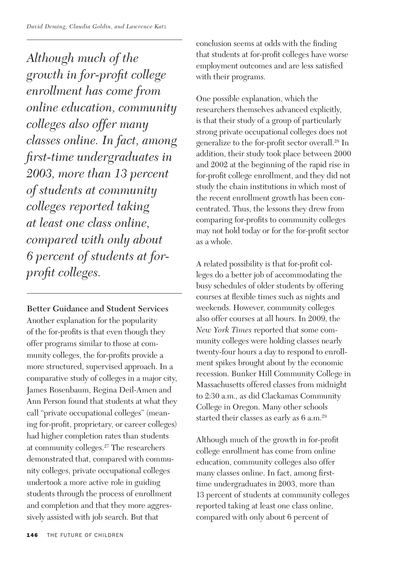*Although much of the growth in for-profit college enrollment has come from online education, community colleges also offer many classes online. In fact, among first-time undergraduates in 2003, more than 13 percent of students at community colleges reported taking at least one class online, compared with only about 6 percent of students at forprofit colleges.*

**Better Guidance and Student Services** Another explanation for the popularity of the for-profits is that even though they offer programs similar to those at community colleges, the for-profits provide a more structured, supervised approach. In a comparative study of colleges in a major city, James Rosenbaum, Regina Deil-Amen and Ann Person found that students at what they call "private occupational colleges" (meaning for-profit, proprietary, or career colleges) had higher completion rates than students at community colleges.27 The researchers demonstrated that, compared with community colleges, private occupational colleges undertook a more active role in guiding students through the process of enrollment and completion and that they more aggressively assisted with job search. But that

conclusion seems at odds with the finding that students at for-profit colleges have worse employment outcomes and are less satisfied with their programs.

One possible explanation, which the researchers themselves advanced explicitly, is that their study of a group of particularly strong private occupational colleges does not generalize to the for-profit sector overall.28 In addition, their study took place between 2000 and 2002 at the beginning of the rapid rise in for-profit college enrollment, and they did not study the chain institutions in which most of the recent enrollment growth has been concentrated. Thus, the lessons they drew from comparing for-profits to community colleges may not hold today or for the for-profit sector as a whole.

A related possibility is that for-profit colleges do a better job of accommodating the busy schedules of older students by offering courses at flexible times such as nights and weekends. However, community colleges also offer courses at all hours. In 2009, the *New York Times* reported that some community colleges were holding classes nearly twenty-four hours a day to respond to enrollment spikes brought about by the economic recession. Bunker Hill Community College in Massachusetts offered classes from midnight to 2:30 a.m., as did Clackamas Community College in Oregon. Many other schools started their classes as early as 6 a.m.29

Although much of the growth in for-profit college enrollment has come from online education, community colleges also offer many classes online. In fact, among firsttime undergraduates in 2003, more than 13 percent of students at community colleges reported taking at least one class online, compared with only about 6 percent of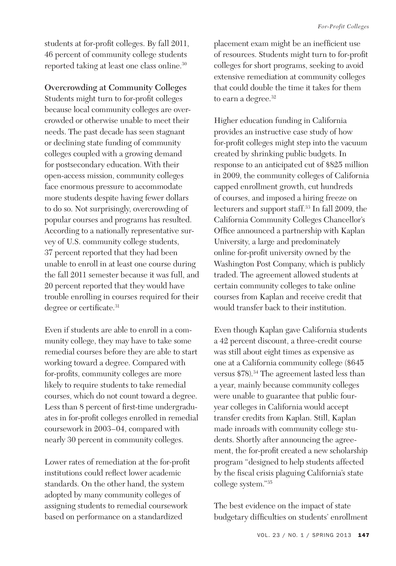students at for-profit colleges. By fall 2011, 46 percent of community college students reported taking at least one class online.30

**Overcrowding at Community Colleges** Students might turn to for-profit colleges because local community colleges are overcrowded or otherwise unable to meet their needs. The past decade has seen stagnant or declining state funding of community colleges coupled with a growing demand for postsecondary education. With their open-access mission, community colleges face enormous pressure to accommodate more students despite having fewer dollars to do so. Not surprisingly, overcrowding of popular courses and programs has resulted. According to a nationally representative survey of U.S. community college students, 37 percent reported that they had been unable to enroll in at least one course during the fall 2011 semester because it was full, and 20 percent reported that they would have trouble enrolling in courses required for their degree or certificate.<sup>31</sup>

Even if students are able to enroll in a community college, they may have to take some remedial courses before they are able to start working toward a degree. Compared with for-profits, community colleges are more likely to require students to take remedial courses, which do not count toward a degree. Less than 8 percent of first-time undergraduates in for-profit colleges enrolled in remedial coursework in 2003–04, compared with nearly 30 percent in community colleges.

Lower rates of remediation at the for-profit institutions could reflect lower academic standards. On the other hand, the system adopted by many community colleges of assigning students to remedial coursework based on performance on a standardized

placement exam might be an inefficient use of resources. Students might turn to for-profit colleges for short programs, seeking to avoid extensive remediation at community colleges that could double the time it takes for them to earn a degree.<sup>32</sup>

Higher education funding in California provides an instructive case study of how for-profit colleges might step into the vacuum created by shrinking public budgets. In response to an anticipated cut of \$825 million in 2009, the community colleges of California capped enrollment growth, cut hundreds of courses, and imposed a hiring freeze on lecturers and support staff.33 In fall 2009, the California Community Colleges Chancellor's Office announced a partnership with Kaplan University, a large and predominately online for-profit university owned by the Washington Post Company, which is publicly traded. The agreement allowed students at certain community colleges to take online courses from Kaplan and receive credit that would transfer back to their institution.

Even though Kaplan gave California students a 42 percent discount, a three-credit course was still about eight times as expensive as one at a California community college (\$645 versus \$78).34 The agreement lasted less than a year, mainly because community colleges were unable to guarantee that public fouryear colleges in California would accept transfer credits from Kaplan. Still, Kaplan made inroads with community college students. Shortly after announcing the agreement, the for-profit created a new scholarship program "designed to help students affected by the fiscal crisis plaguing California's state college system."35

The best evidence on the impact of state budgetary difficulties on students' enrollment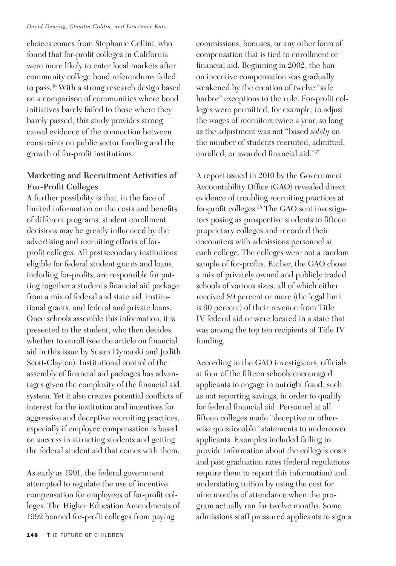#### *David Deming, Claudia Goldin, and Lawrence Katz*

choices comes from Stephanie Cellini, who found that for-profit colleges in California were more likely to enter local markets after community college bond referendums failed to pass.36 With a strong research design based on a comparison of communities where bond initiatives barely failed to those where they barely passed, this study provides strong causal evidence of the connection between constraints on public sector funding and the growth of for-profit institutions.

# **Marketing and Recruitment Activities of For-Profit Colleges**

A further possibility is that, in the face of limited information on the costs and benefits of different programs, student enrollment decisions may be greatly influenced by the advertising and recruiting efforts of forprofit colleges. All postsecondary institutions eligible for federal student grants and loans, including for-profits, are responsible for putting together a student's financial aid package from a mix of federal and state aid, institutional grants, and federal and private loans. Once schools assemble this information, it is presented to the student, who then decides whether to enroll (see the article on financial aid in this issue by Susan Dynarski and Judith Scott-Clayton). Institutional control of the assembly of financial aid packages has advantages given the complexity of the financial aid system. Yet it also creates potential conflicts of interest for the institution and incentives for aggressive and deceptive recruiting practices, especially if employee compensation is based on success in attracting students and getting the federal student aid that comes with them.

As early as 1991, the federal government attempted to regulate the use of incentive compensation for employees of for-profit colleges. The Higher Education Amendments of 1992 banned for-profit colleges from paying

commissions, bonuses, or any other form of compensation that is tied to enrollment or financial aid. Beginning in 2002, the ban on incentive compensation was gradually weakened by the creation of twelve "safe harbor" exceptions to the rule. For-profit colleges were permitted, for example, to adjust the wages of recruiters twice a year, so long as the adjustment was not "based *solely* on the number of students recruited, admitted, enrolled, or awarded financial aid."37

A report issued in 2010 by the Government Accountability Office (GAO) revealed direct evidence of troubling recruiting practices at for-profit colleges.38 The GAO sent investigators posing as prospective students to fifteen proprietary colleges and recorded their encounters with admissions personnel at each college. The colleges were not a random sample of for-profits. Rather, the GAO chose a mix of privately owned and publicly traded schools of various sizes, all of which either received 89 percent or more (the legal limit is 90 percent) of their revenue from Title IV federal aid or were located in a state that was among the top ten recipients of Title IV funding.

According to the GAO investigators, officials at four of the fifteen schools encouraged applicants to engage in outright fraud, such as not reporting savings, in order to qualify for federal financial aid. Personnel at all fifteen colleges made "deceptive or otherwise questionable" statements to undercover applicants. Examples included failing to provide information about the college's costs and past graduation rates (federal regulations require them to report this information) and understating tuition by using the cost for nine months of attendance when the program actually ran for twelve months. Some admissions staff pressured applicants to sign a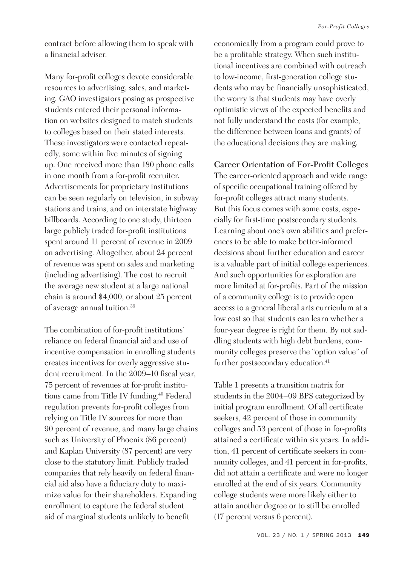contract before allowing them to speak with a financial adviser.

Many for-profit colleges devote considerable resources to advertising, sales, and marketing. GAO investigators posing as prospective students entered their personal information on websites designed to match students to colleges based on their stated interests. These investigators were contacted repeatedly, some within five minutes of signing up. One received more than 180 phone calls in one month from a for-profit recruiter. Advertisements for proprietary institutions can be seen regularly on television, in subway stations and trains, and on interstate highway billboards. According to one study, thirteen large publicly traded for-profit institutions spent around 11 percent of revenue in 2009 on advertising. Altogether, about 24 percent of revenue was spent on sales and marketing (including advertising). The cost to recruit the average new student at a large national chain is around \$4,000, or about 25 percent of average annual tuition.39

The combination of for-profit institutions' reliance on federal financial aid and use of incentive compensation in enrolling students creates incentives for overly aggressive student recruitment. In the 2009–10 fiscal year, 75 percent of revenues at for-profit institutions came from Title IV funding.<sup>40</sup> Federal regulation prevents for-profit colleges from relying on Title IV sources for more than 90 percent of revenue, and many large chains such as University of Phoenix (86 percent) and Kaplan University (87 percent) are very close to the statutory limit. Publicly traded companies that rely heavily on federal financial aid also have a fiduciary duty to maximize value for their shareholders. Expanding enrollment to capture the federal student aid of marginal students unlikely to benefit

economically from a program could prove to be a profitable strategy. When such institutional incentives are combined with outreach to low-income, first-generation college students who may be financially unsophisticated, the worry is that students may have overly optimistic views of the expected benefits and not fully understand the costs (for example, the difference between loans and grants) of the educational decisions they are making.

**Career Orientation of For-Profit Colleges**  The career-oriented approach and wide range of specific occupational training offered by for-profit colleges attract many students. But this focus comes with some costs, especially for first-time postsecondary students. Learning about one's own abilities and preferences to be able to make better-informed decisions about further education and career is a valuable part of initial college experiences. And such opportunities for exploration are more limited at for-profits. Part of the mission of a community college is to provide open access to a general liberal arts curriculum at a low cost so that students can learn whether a four-year degree is right for them. By not saddling students with high debt burdens, community colleges preserve the "option value" of further postsecondary education.<sup>41</sup>

Table 1 presents a transition matrix for students in the 2004–09 BPS categorized by initial program enrollment. Of all certificate seekers, 42 percent of those in community colleges and 53 percent of those in for-profits attained a certificate within six years. In addition, 41 percent of certificate seekers in community colleges, and 41 percent in for-profits, did not attain a certificate and were no longer enrolled at the end of six years. Community college students were more likely either to attain another degree or to still be enrolled (17 percent versus 6 percent).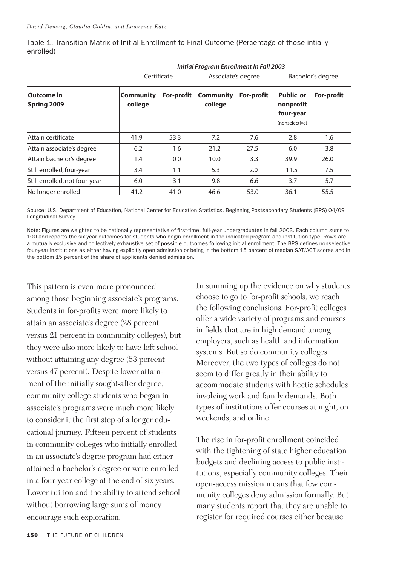Table 1. Transition Matrix of Initial Enrollment to Final Outcome (Percentage of those intially enrolled)

| <b>Outcome in</b><br>Spring 2009 | <b>Initial Program Enrollment In Fall 2003</b> |                   |                             |            |                                                              |            |  |
|----------------------------------|------------------------------------------------|-------------------|-----------------------------|------------|--------------------------------------------------------------|------------|--|
|                                  | Certificate                                    |                   | Associate's degree          |            | Bachelor's degree                                            |            |  |
|                                  | <b>Community</b><br>college                    | <b>For-profit</b> | <b>Community</b><br>college | For-profit | <b>Public or</b><br>nonprofit<br>four-year<br>(nonselective) | For-profit |  |
| Attain certificate               | 41.9                                           | 53.3              | 7.2                         | 7.6        | 2.8                                                          | 1.6        |  |
| Attain associate's degree        | 6.2                                            | 1.6               | 21.2                        | 27.5       | 6.0                                                          | 3.8        |  |
| Attain bachelor's degree         | 1.4                                            | 0.0               | 10.0                        | 3.3        | 39.9                                                         | 26.0       |  |
| Still enrolled, four-year        | 3.4                                            | 1.1               | 5.3                         | 2.0        | 11.5                                                         | 7.5        |  |
| Still enrolled, not four-year    | 6.0                                            | 3.1               | 9.8                         | 6.6        | 3.7                                                          | 5.7        |  |
| No longer enrolled               | 41.2                                           | 41.0              | 46.6                        | 53.0       | 36.1                                                         | 55.5       |  |

Source: U.S. Department of Education, National Center for Education Statistics, Beginning Postsecondary Students (BPS) 04/09 Longitudinal Survey.

Note: Figures are weighted to be nationally representative of first-time, full-year undergraduates in fall 2003. Each column sums to 100 and reports the six-year outcomes for students who begin enrollment in the indicated program and institution type. Rows are a mutually exclusive and collectively exhaustive set of possible outcomes following initial enrollment. The BPS defines nonselective four-year institutions as either having explicitly open admission or being in the bottom 15 percent of median SAT/ACT scores and in the bottom 15 percent of the share of applicants denied admission.

This pattern is even more pronounced among those beginning associate's programs. Students in for-profits were more likely to attain an associate's degree (28 percent versus 21 percent in community colleges), but they were also more likely to have left school without attaining any degree (53 percent versus 47 percent). Despite lower attainment of the initially sought-after degree, community college students who began in associate's programs were much more likely to consider it the first step of a longer educational journey. Fifteen percent of students in community colleges who initially enrolled in an associate's degree program had either attained a bachelor's degree or were enrolled in a four-year college at the end of six years. Lower tuition and the ability to attend school without borrowing large sums of money encourage such exploration.

In summing up the evidence on why students choose to go to for-profit schools, we reach the following conclusions. For-profit colleges offer a wide variety of programs and courses in fields that are in high demand among employers, such as health and information systems. But so do community colleges. Moreover, the two types of colleges do not seem to differ greatly in their ability to accommodate students with hectic schedules involving work and family demands. Both types of institutions offer courses at night, on weekends, and online.

The rise in for-profit enrollment coincided with the tightening of state higher education budgets and declining access to public institutions, especially community colleges. Their open-access mission means that few community colleges deny admission formally. But many students report that they are unable to register for required courses either because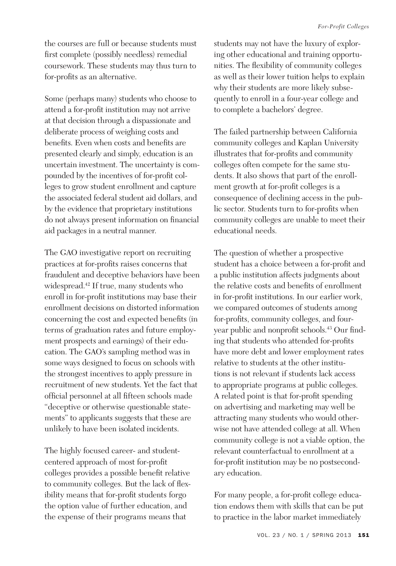the courses are full or because students must first complete (possibly needless) remedial coursework. These students may thus turn to for-profits as an alternative.

Some (perhaps many) students who choose to attend a for-profit institution may not arrive at that decision through a dispassionate and deliberate process of weighing costs and benefits. Even when costs and benefits are presented clearly and simply, education is an uncertain investment. The uncertainty is compounded by the incentives of for-profit colleges to grow student enrollment and capture the associated federal student aid dollars, and by the evidence that proprietary institutions do not always present information on financial aid packages in a neutral manner.

The GAO investigative report on recruiting practices at for-profits raises concerns that fraudulent and deceptive behaviors have been widespread.42 If true, many students who enroll in for-profit institutions may base their enrollment decisions on distorted information concerning the cost and expected benefits (in terms of graduation rates and future employment prospects and earnings) of their education. The GAO's sampling method was in some ways designed to focus on schools with the strongest incentives to apply pressure in recruitment of new students. Yet the fact that official personnel at all fifteen schools made "deceptive or otherwise questionable statements" to applicants suggests that these are unlikely to have been isolated incidents.

The highly focused career- and studentcentered approach of most for-profit colleges provides a possible benefit relative to community colleges. But the lack of flexibility means that for-profit students forgo the option value of further education, and the expense of their programs means that

students may not have the luxury of exploring other educational and training opportunities. The flexibility of community colleges as well as their lower tuition helps to explain why their students are more likely subsequently to enroll in a four-year college and to complete a bachelors' degree.

The failed partnership between California community colleges and Kaplan University illustrates that for-profits and community colleges often compete for the same students. It also shows that part of the enrollment growth at for-profit colleges is a consequence of declining access in the public sector. Students turn to for-profits when community colleges are unable to meet their educational needs.

The question of whether a prospective student has a choice between a for-profit and a public institution affects judgments about the relative costs and benefits of enrollment in for-profit institutions. In our earlier work, we compared outcomes of students among for-profits, community colleges, and fouryear public and nonprofit schools.43 Our finding that students who attended for-profits have more debt and lower employment rates relative to students at the other institutions is not relevant if students lack access to appropriate programs at public colleges. A related point is that for-profit spending on advertising and marketing may well be attracting many students who would otherwise not have attended college at all. When community college is not a viable option, the relevant counterfactual to enrollment at a for-profit institution may be no postsecondary education.

For many people, a for-profit college education endows them with skills that can be put to practice in the labor market immediately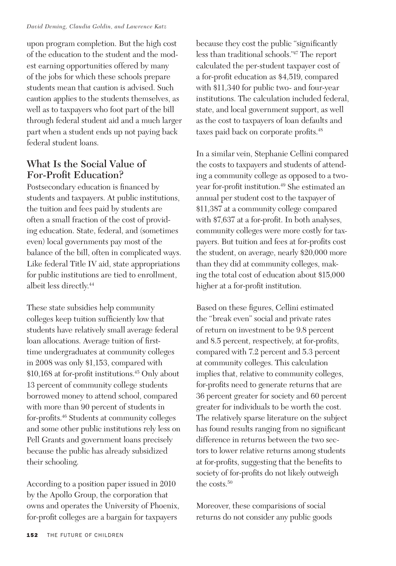upon program completion. But the high cost of the education to the student and the modest earning opportunities offered by many of the jobs for which these schools prepare students mean that caution is advised. Such caution applies to the students themselves, as well as to taxpayers who foot part of the bill through federal student aid and a much larger part when a student ends up not paying back federal student loans.

# **What Is the Social Value of For-Profit Education?**

Postsecondary education is financed by students and taxpayers. At public institutions, the tuition and fees paid by students are often a small fraction of the cost of providing education. State, federal, and (sometimes even) local governments pay most of the balance of the bill, often in complicated ways. Like federal Title IV aid, state appropriations for public institutions are tied to enrollment, albeit less directly.44

These state subsidies help community colleges keep tuition sufficiently low that students have relatively small average federal loan allocations. Average tuition of firsttime undergraduates at community colleges in 2008 was only \$1,153, compared with \$10,168 at for-profit institutions.45 Only about 13 percent of community college students borrowed money to attend school, compared with more than 90 percent of students in for-profits.46 Students at community colleges and some other public institutions rely less on Pell Grants and government loans precisely because the public has already subsidized their schooling.

According to a position paper issued in 2010 by the Apollo Group, the corporation that owns and operates the University of Phoenix, for-profit colleges are a bargain for taxpayers

because they cost the public "significantly less than traditional schools."47 The report calculated the per-student taxpayer cost of a for-profit education as \$4,519, compared with \$11,340 for public two- and four-year institutions. The calculation included federal, state, and local government support, as well as the cost to taxpayers of loan defaults and taxes paid back on corporate profits.48

In a similar vein, Stephanie Cellini compared the costs to taxpayers and students of attending a community college as opposed to a twoyear for-profit institution.49 She estimated an annual per student cost to the taxpayer of \$11,387 at a community college compared with \$7,637 at a for-profit. In both analyses, community colleges were more costly for taxpayers. But tuition and fees at for-profits cost the student, on average, nearly \$20,000 more than they did at community colleges, making the total cost of education about \$15,000 higher at a for-profit institution.

Based on these figures, Cellini estimated the "break even" social and private rates of return on investment to be 9.8 percent and 8.5 percent, respectively, at for-profits, compared with 7.2 percent and 5.3 percent at community colleges. This calculation implies that, relative to community colleges, for-profits need to generate returns that are 36 percent greater for society and 60 percent greater for individuals to be worth the cost. The relatively sparse literature on the subject has found results ranging from no significant difference in returns between the two sectors to lower relative returns among students at for-profits, suggesting that the benefits to society of for-profits do not likely outweigh the costs.<sup>50</sup>

Moreover, these comparisions of social returns do not consider any public goods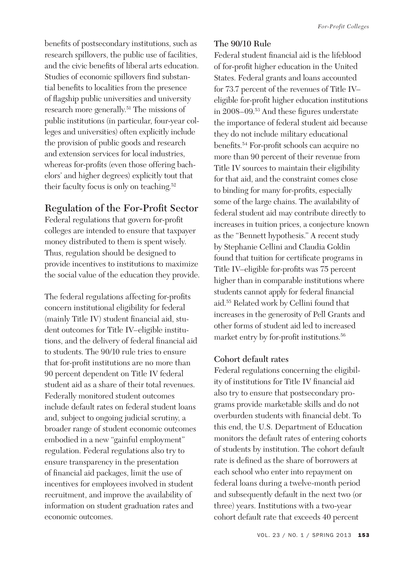benefits of postsecondary institutions, such as research spillovers, the public use of facilities, and the civic benefits of liberal arts education. Studies of economic spillovers find substantial benefits to localities from the presence of flagship public universities and university research more generally.51 The missions of public institutions (in particular, four-year colleges and universities) often explicitly include the provision of public goods and research and extension services for local industries, whereas for-profits (even those offering bachelors' and higher degrees) explicitly tout that their faculty focus is only on teaching.<sup>52</sup>

# **Regulation of the For-Profit Sector**

Federal regulations that govern for-profit colleges are intended to ensure that taxpayer money distributed to them is spent wisely. Thus, regulation should be designed to provide incentives to institutions to maximize the social value of the education they provide.

The federal regulations affecting for-profits concern institutional eligibility for federal (mainly Title IV) student financial aid, student outcomes for Title IV–eligible institutions, and the delivery of federal financial aid to students. The 90/10 rule tries to ensure that for-profit institutions are no more than 90 percent dependent on Title IV federal student aid as a share of their total revenues. Federally monitored student outcomes include default rates on federal student loans and, subject to ongoing judicial scrutiny, a broader range of student economic outcomes embodied in a new "gainful employment" regulation. Federal regulations also try to ensure transparency in the presentation of financial aid packages, limit the use of incentives for employees involved in student recruitment, and improve the availability of information on student graduation rates and economic outcomes.

## **The 90/10 Rule**

Federal student financial aid is the lifeblood of for-profit higher education in the United States. Federal grants and loans accounted for 73.7 percent of the revenues of Title IV– eligible for-profit higher education institutions in 2008–09.53 And these figures understate the importance of federal student aid because they do not include military educational benefits.54 For-profit schools can acquire no more than 90 percent of their revenue from Title IV sources to maintain their eligibility for that aid, and the constraint comes close to binding for many for-profits, especially some of the large chains. The availability of federal student aid may contribute directly to increases in tuition prices, a conjecture known as the "Bennett hypothesis." A recent study by Stephanie Cellini and Claudia Goldin found that tuition for certificate programs in Title IV–eligible for-profits was 75 percent higher than in comparable institutions where students cannot apply for federal financial aid.55 Related work by Cellini found that increases in the generosity of Pell Grants and other forms of student aid led to increased market entry by for-profit institutions.56

## **Cohort default rates**

Federal regulations concerning the eligibility of institutions for Title IV financial aid also try to ensure that postsecondary programs provide marketable skills and do not overburden students with financial debt. To this end, the U.S. Department of Education monitors the default rates of entering cohorts of students by institution. The cohort default rate is defined as the share of borrowers at each school who enter into repayment on federal loans during a twelve-month period and subsequently default in the next two (or three) years. Institutions with a two-year cohort default rate that exceeds 40 percent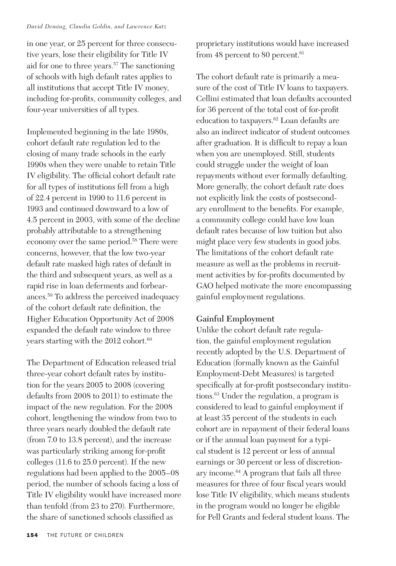#### *David Deming, Claudia Goldin, and Lawrence Katz*

in one year, or 25 percent for three consecutive years, lose their eligibility for Title IV aid for one to three years.57 The sanctioning of schools with high default rates applies to all institutions that accept Title IV money, including for-profits, community colleges, and four-year universities of all types.

Implemented beginning in the late 1980s, cohort default rate regulation led to the closing of many trade schools in the early 1990s when they were unable to retain Title IV eligibility. The official cohort default rate for all types of institutions fell from a high of 22.4 percent in 1990 to 11.6 percent in 1993 and continued downward to a low of 4.5 percent in 2003, with some of the decline probably attributable to a strengthening economy over the same period.<sup>58</sup> There were concerns, however, that the low two-year default rate masked high rates of default in the third and subsequent years, as well as a rapid rise in loan deferments and forbearances.59 To address the perceived inadequacy of the cohort default rate definition, the Higher Education Opportunity Act of 2008 expanded the default rate window to three years starting with the 2012 cohort.<sup>60</sup>

The Department of Education released trial three-year cohort default rates by institution for the years 2005 to 2008 (covering defaults from 2008 to 2011) to estimate the impact of the new regulation. For the 2008 cohort, lengthening the window from two to three years nearly doubled the default rate (from 7.0 to 13.8 percent), and the increase was particularly striking among for-profit colleges (11.6 to 25.0 percent). If the new regulations had been applied to the 2005–08 period, the number of schools facing a loss of Title IV eligibility would have increased more than tenfold (from 23 to 270). Furthermore, the share of sanctioned schools classified as

proprietary institutions would have increased from 48 percent to 80 percent.<sup>61</sup>

The cohort default rate is primarily a measure of the cost of Title IV loans to taxpayers. Cellini estimated that loan defaults accounted for 36 percent of the total cost of for-profit education to taxpayers.62 Loan defaults are also an indirect indicator of student outcomes after graduation. It is difficult to repay a loan when you are unemployed. Still, students could struggle under the weight of loan repayments without ever formally defaulting. More generally, the cohort default rate does not explicitly link the costs of postsecondary enrollment to the benefits. For example, a community college could have low loan default rates because of low tuition but also might place very few students in good jobs. The limitations of the cohort default rate measure as well as the problems in recruitment activities by for-profits documented by GAO helped motivate the more encompassing gainful employment regulations.

### **Gainful Employment**

Unlike the cohort default rate regulation, the gainful employment regulation recently adopted by the U.S. Department of Education (formally known as the Gainful Employment-Debt Measures) is targeted specifically at for-profit postsecondary institutions.63 Under the regulation, a program is considered to lead to gainful employment if at least 35 percent of the students in each cohort are in repayment of their federal loans or if the annual loan payment for a typical student is 12 percent or less of annual earnings or 30 percent or less of discretionary income.64 A program that fails all three measures for three of four fiscal years would lose Title IV eligibility, which means students in the program would no longer be eligible for Pell Grants and federal student loans. The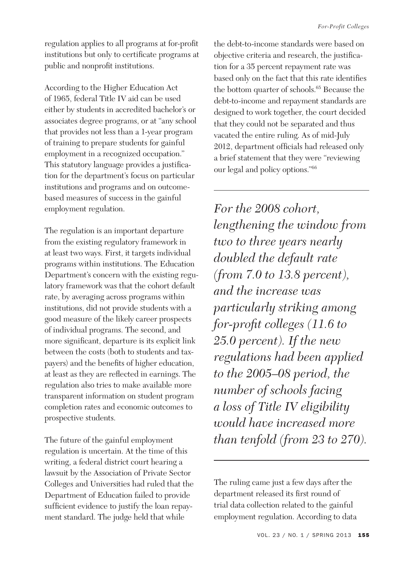regulation applies to all programs at for-profit institutions but only to certificate programs at public and nonprofit institutions.

According to the Higher Education Act of 1965, federal Title IV aid can be used either by students in accredited bachelor's or associates degree programs, or at "any school that provides not less than a 1-year program of training to prepare students for gainful employment in a recognized occupation." This statutory language provides a justification for the department's focus on particular institutions and programs and on outcomebased measures of success in the gainful employment regulation.

The regulation is an important departure from the existing regulatory framework in at least two ways. First, it targets individual programs within institutions. The Education Department's concern with the existing regulatory framework was that the cohort default rate, by averaging across programs within institutions, did not provide students with a good measure of the likely career prospects of individual programs. The second, and more significant, departure is its explicit link between the costs (both to students and taxpayers) and the benefits of higher education, at least as they are reflected in earnings. The regulation also tries to make available more transparent information on student program completion rates and economic outcomes to prospective students.

The future of the gainful employment regulation is uncertain. At the time of this writing, a federal district court hearing a lawsuit by the Association of Private Sector Colleges and Universities had ruled that the Department of Education failed to provide sufficient evidence to justify the loan repayment standard. The judge held that while

the debt-to-income standards were based on objective criteria and research, the justification for a 35 percent repayment rate was based only on the fact that this rate identifies the bottom quarter of schools.<sup>65</sup> Because the debt-to-income and repayment standards are designed to work together, the court decided that they could not be separated and thus vacated the entire ruling. As of mid-July 2012, department officials had released only a brief statement that they were "reviewing our legal and policy options."66

*For the 2008 cohort, lengthening the window from two to three years nearly doubled the default rate (from 7.0 to 13.8 percent), and the increase was particularly striking among for-profit colleges (11.6 to 25.0 percent). If the new regulations had been applied to the 2005–08 period, the number of schools facing a loss of Title IV eligibility would have increased more than tenfold (from 23 to 270).*

The ruling came just a few days after the department released its first round of trial data collection related to the gainful employment regulation. According to data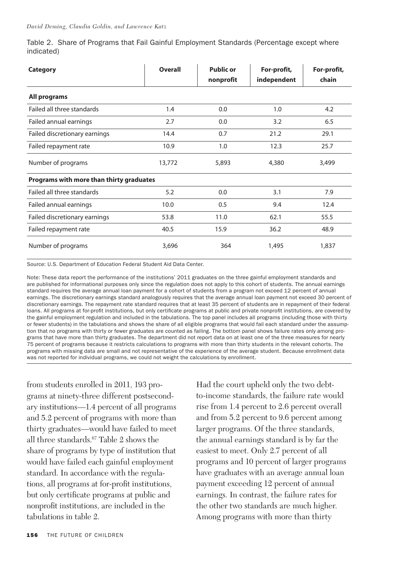Table 2. Share of Programs that Fail Gainful Employment Standards (Percentage except where indicated)

| Category                                 | <b>Overall</b> | <b>Public or</b><br>nonprofit | For-profit,<br>independent | For-profit,<br>chain |  |  |  |  |
|------------------------------------------|----------------|-------------------------------|----------------------------|----------------------|--|--|--|--|
| All programs                             |                |                               |                            |                      |  |  |  |  |
| Failed all three standards               | 1.4            | 0.0                           | 1.0                        | 4.2                  |  |  |  |  |
| Failed annual earnings                   | 2.7            | 0.0                           | 3.2                        | 6.5                  |  |  |  |  |
| Failed discretionary earnings            | 14.4           | 0.7                           | 21.2                       | 29.1                 |  |  |  |  |
| Failed repayment rate                    | 10.9           | 1.0                           | 12.3                       | 25.7                 |  |  |  |  |
| Number of programs                       | 13,772         | 5,893                         | 4,380                      | 3,499                |  |  |  |  |
| Programs with more than thirty graduates |                |                               |                            |                      |  |  |  |  |
| Failed all three standards               | 5.2            | 0.0                           | 3.1                        | 7.9                  |  |  |  |  |
| Failed annual earnings                   | 10.0           | 0.5                           | 9.4                        | 12.4                 |  |  |  |  |
| Failed discretionary earnings            | 53.8           | 11.0                          | 62.1                       | 55.5                 |  |  |  |  |
| Failed repayment rate                    | 40.5           | 15.9                          | 36.2                       | 48.9                 |  |  |  |  |
| Number of programs                       | 3,696          | 364                           | 1,495                      | 1,837                |  |  |  |  |

Source: U.S. Department of Education Federal Student Aid Data Center.

Note: These data report the performance of the institutions' 2011 graduates on the three gainful employment standards and are published for informational purposes only since the regulation does not apply to this cohort of students. The annual earnings standard requires the average annual loan payment for a cohort of students from a program not exceed 12 percent of annual earnings. The discretionary earnings standard analogously requires that the average annual loan payment not exceed 30 percent of discretionary earnings. The repayment rate standard requires that at least 35 percent of students are in repayment of their federal loans. All programs at for-profit institutions, but only certificate programs at public and private nonprofit institutions, are covered by the gainful employment regulation and included in the tabulations. The top panel includes all programs (including those with thirty or fewer students) in the tabulations and shows the share of all eligible programs that would fail each standard under the assumption that no programs with thirty or fewer graduates are counted as failing. The bottom panel shows failure rates only among programs that have more than thirty graduates. The department did not report data on at least one of the three measures for nearly 75 percent of programs because it restricts calculations to programs with more than thirty students in the relevant cohorts. The programs with missing data are small and not representative of the experience of the average student. Because enrollment data was not reported for individual programs, we could not weight the calculations by enrollment.

from students enrolled in 2011, 193 programs at ninety-three different postsecondary institutions—1.4 percent of all programs and 5.2 percent of programs with more than thirty graduates—would have failed to meet all three standards.67 Table 2 shows the share of programs by type of institution that would have failed each gainful employment standard. In accordance with the regulations, all programs at for-profit institutions, but only certificate programs at public and nonprofit institutions, are included in the tabulations in table 2.

Had the court upheld only the two debtto-income standards, the failure rate would rise from 1.4 percent to 2.6 percent overall and from 5.2 percent to 9.6 percent among larger programs. Of the three standards, the annual earnings standard is by far the easiest to meet. Only 2.7 percent of all programs and 10 percent of larger programs have graduates with an average annual loan payment exceeding 12 percent of annual earnings. In contrast, the failure rates for the other two standards are much higher. Among programs with more than thirty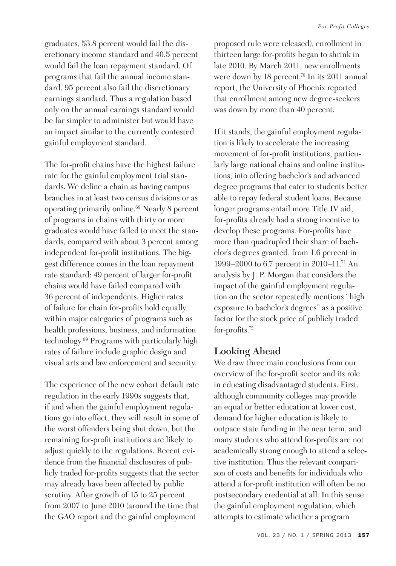graduates, 53.8 percent would fail the discretionary income standard and 40.5 percent would fail the loan repayment standard. Of programs that fail the annual income standard, 95 percent also fail the discretionary earnings standard. Thus a regulation based only on the annual earnings standard would be far simpler to administer but would have an impact similar to the currently contested gainful employment standard.

The for-profit chains have the highest failure rate for the gainful employment trial standards. We define a chain as having campus branches in at least two census divisions or as operating primarily online.68 Nearly 8 percent of programs in chains with thirty or more graduates would have failed to meet the standards, compared with about 3 percent among independent for-profit institutions. The biggest difference comes in the loan repayment rate standard: 49 percent of larger for-profit chains would have failed compared with 36 percent of independents. Higher rates of failure for chain for-profits hold equally within major categories of programs such as health professions, business, and information technology.69 Programs with particularly high rates of failure include graphic design and visual arts and law enforcement and security.

The experience of the new cohort default rate regulation in the early 1990s suggests that, if and when the gainful employment regulations go into effect, they will result in some of the worst offenders being shut down, but the remaining for-profit institutions are likely to adjust quickly to the regulations. Recent evidence from the financial disclosures of publicly traded for-profits suggests that the sector may already have been affected by public scrutiny. After growth of 15 to 25 percent from 2007 to June 2010 (around the time that the GAO report and the gainful employment

proposed rule were released), enrollment in thirteen large for-profits began to shrink in late 2010. By March 2011, new enrollments were down by 18 percent.<sup>70</sup> In its 2011 annual report, the University of Phoenix reported that enrollment among new degree-seekers was down by more than 40 percent.

If it stands, the gainful employment regulation is likely to accelerate the increasing movement of for-profit institutions, particularly large national chains and online institutions, into offering bachelor's and advanced degree programs that cater to students better able to repay federal student loans. Because longer programs entail more Title IV aid, for-profits already had a strong incentive to develop these programs. For-profits have more than quadrupled their share of bachelor's degrees granted, from 1.6 percent in 1999–2000 to 6.7 percent in 2010–11.71 An analysis by J. P. Morgan that considers the impact of the gainful employment regulation on the sector repeatedly mentions "high exposure to bachelor's degrees" as a positive factor for the stock price of publicly traded for-profits.72

# **Looking Ahead**

We draw three main conclusions from our overview of the for-profit sector and its role in educating disadvantaged students. First, although community colleges may provide an equal or better education at lower cost, demand for higher education is likely to outpace state funding in the near term, and many students who attend for-profits are not academically strong enough to attend a selective institution. Thus the relevant comparison of costs and benefits for individuals who attend a for-profit institution will often be no postsecondary credential at all. In this sense the gainful employment regulation, which attempts to estimate whether a program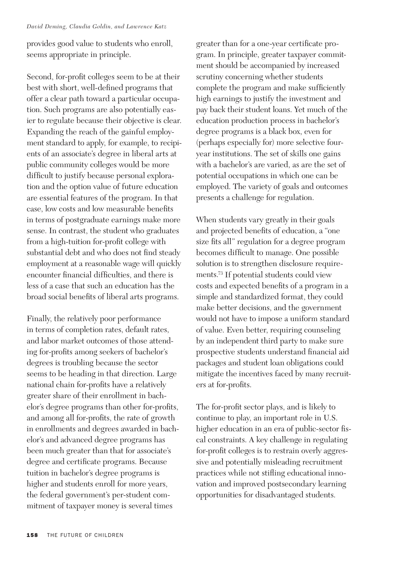provides good value to students who enroll, seems appropriate in principle.

Second, for-profit colleges seem to be at their best with short, well-defined programs that offer a clear path toward a particular occupation. Such programs are also potentially easier to regulate because their objective is clear. Expanding the reach of the gainful employment standard to apply, for example, to recipients of an associate's degree in liberal arts at public community colleges would be more difficult to justify because personal exploration and the option value of future education are essential features of the program. In that case, low costs and low measurable benefits in terms of postgraduate earnings make more sense. In contrast, the student who graduates from a high-tuition for-profit college with substantial debt and who does not find steady employment at a reasonable wage will quickly encounter financial difficulties, and there is less of a case that such an education has the broad social benefits of liberal arts programs.

Finally, the relatively poor performance in terms of completion rates, default rates, and labor market outcomes of those attending for-profits among seekers of bachelor's degrees is troubling because the sector seems to be heading in that direction. Large national chain for-profits have a relatively greater share of their enrollment in bachelor's degree programs than other for-profits, and among all for-profits, the rate of growth in enrollments and degrees awarded in bachelor's and advanced degree programs has been much greater than that for associate's degree and certificate programs. Because tuition in bachelor's degree programs is higher and students enroll for more years, the federal government's per-student commitment of taxpayer money is several times

greater than for a one-year certificate program. In principle, greater taxpayer commitment should be accompanied by increased scrutiny concerning whether students complete the program and make sufficiently high earnings to justify the investment and pay back their student loans. Yet much of the education production process in bachelor's degree programs is a black box, even for (perhaps especially for) more selective fouryear institutions. The set of skills one gains with a bachelor's are varied, as are the set of potential occupations in which one can be employed. The variety of goals and outcomes presents a challenge for regulation.

When students vary greatly in their goals and projected benefits of education, a "one size fits all" regulation for a degree program becomes difficult to manage. One possible solution is to strengthen disclosure requirements.73 If potential students could view costs and expected benefits of a program in a simple and standardized format, they could make better decisions, and the government would not have to impose a uniform standard of value. Even better, requiring counseling by an independent third party to make sure prospective students understand financial aid packages and student loan obligations could mitigate the incentives faced by many recruiters at for-profits.

The for-profit sector plays, and is likely to continue to play, an important role in U.S. higher education in an era of public-sector fiscal constraints. A key challenge in regulating for-profit colleges is to restrain overly aggressive and potentially misleading recruitment practices while not stifling educational innovation and improved postsecondary learning opportunities for disadvantaged students.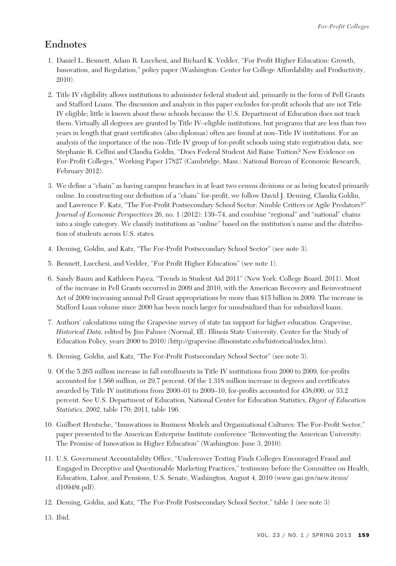# **Endnotes**

- 1. Daniel L. Bennett, Adam R. Lucchesi, and Richard K. Vedder, "For Profit Higher Education: Growth, Innovation, and Regulation," policy paper (Washington: Center for College Affordability and Productivity, 2010).
- 2. Title IV eligibility allows institutions to administer federal student aid, primarily in the form of Pell Grants and Stafford Loans. The discussion and analysis in this paper excludes for-profit schools that are not Title IV eligible; little is known about these schools because the U.S. Department of Education does not track them. Virtually all degrees are granted by Title IV–eligible institutions, but programs that are less than two years in length that grant certificates (also diplomas) often are found at non–Title IV institutions. For an analysis of the importance of the non–Title IV group of for-profit schools using state registration data, see Stephanie R. Cellini and Claudia Goldin, "Does Federal Student Aid Raise Tuition? New Evidence on For-Profit Colleges," Working Paper 17827 (Cambridge, Mass.: National Bureau of Economic Research, February 2012).
- 3. We define a "chain" as having campus branches in at least two census divisions or as being located primarily online. In constructing our definition of a "chain" for-profit, we follow David J. Deming, Claudia Goldin, and Lawrence F. Katz, "The For-Profit Postsecondary School Sector: Nimble Critters or Agile Predators?" *Journal of Economic Perspectives* 26, no. 1 (2012): 139–74, and combine "regional" and "national" chains into a single category. We classify institutions as "online" based on the institution's name and the distribution of students across U.S. states.
- 4. Deming, Goldin, and Katz, "The For-Profit Postsecondary School Sector" (see note 3).
- 5. Bennett, Lucchesi, and Vedder, "For Profit Higher Education" (see note 1).
- 6. Sandy Baum and Kathleen Payea, "Trends in Student Aid 2011" (New York: College Board, 2011). Most of the increase in Pell Grants occurred in 2009 and 2010, with the American Recovery and Reinvestment Act of 2009 increasing annual Pell Grant appropriations by more than \$15 billion in 2009. The increase in Stafford Loan volume since 2000 has been much larger for unsubsidized than for subsidized loans.
- 7. Authors' calculations using the Grapevine survey of state tax support for higher education. Grapevine, *Historical Data,* edited by Jim Palmer (Normal, Ill.: Illinois State University, Center for the Study of Education Policy, years 2000 to 2010) (http://grapevine.illinoisstate.edu/historical/index.htm).
- 8. Deming, Goldin, and Katz, "The For-Profit Postsecondary School Sector" (see note 3).
- 9. Of the 5.265 million increase in fall enrollments in Title IV institutions from 2000 to 2009, for-profits accounted for 1.566 million, or 29.7 percent. Of the 1.318 million increase in degrees and certificates awarded by Title IV institutions from 2000–01 to 2009–10, for-profits accounted for 438,000, or 33.2 percent. See U.S. Department of Education, National Center for Education Statistics, *Digest of Education Statistics, 2002*, table 170; 2011, table 196.
- 10. Guilbert Hentsche, "Innovations in Business Models and Organizational Cultures: The For-Profit Sector," paper presented to the American Enterprise Institute conference "Reinventing the American University: The Promise of Innovation in Higher Education" (Washington: June 3, 2010).
- 11. U.S. Government Accountability Office, "Undercover Testing Finds Colleges Encouraged Fraud and Engaged in Deceptive and Questionable Marketing Practices," testimony before the Committee on Health, Education, Labor, and Pensions, U.S. Senate, Washington, August 4, 2010 (www.gao.gov/new.items/ d10948t.pdf).
- 12. Deming, Goldin, and Katz, "The For-Profit Postsecondary School Sector," table 1 (see note 3)

13. Ibid.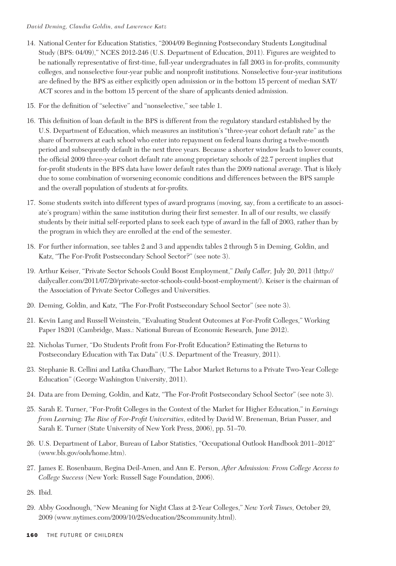- 14. National Center for Education Statistics, "2004/09 Beginning Postsecondary Students Longitudinal Study (BPS: 04/09)," NCES 2012-246 (U.S. Department of Education, 2011). Figures are weighted to be nationally representative of first-time, full-year undergraduates in fall 2003 in for-profits, community colleges, and nonselective four-year public and nonprofit institutions. Nonselective four-year institutions are defined by the BPS as either explicitly open admission or in the bottom 15 percent of median SAT/ ACT scores and in the bottom 15 percent of the share of applicants denied admission.
- 15. For the definition of "selective" and "nonselective," see table 1.
- 16. This definition of loan default in the BPS is different from the regulatory standard established by the U.S. Department of Education, which measures an institution's "three-year cohort default rate" as the share of borrowers at each school who enter into repayment on federal loans during a twelve-month period and subsequently default in the next three years. Because a shorter window leads to lower counts, the official 2009 three-year cohort default rate among proprietary schools of 22.7 percent implies that for-profit students in the BPS data have lower default rates than the 2009 national average. That is likely due to some combination of worsening economic conditions and differences between the BPS sample and the overall population of students at for-profits.
- 17. Some students switch into different types of award programs (moving, say, from a certificate to an associate's program) within the same institution during their first semester. In all of our results, we classify students by their initial self-reported plans to seek each type of award in the fall of 2003, rather than by the program in which they are enrolled at the end of the semester.
- 18. For further information, see tables 2 and 3 and appendix tables 2 through 5 in Deming, Goldin, and Katz, "The For-Profit Postsecondary School Sector?" (see note 3).
- 19. Arthur Keiser, "Private Sector Schools Could Boost Employment," *Daily Caller,* July 20, 2011 (http:// dailycaller.com/2011/07/20/private-sector-schools-could-boost-employment/). Keiser is the chairman of the Association of Private Sector Colleges and Universities.
- 20. Deming, Goldin, and Katz, "The For-Profit Postsecondary School Sector" (see note 3).
- 21. Kevin Lang and Russell Weinstein, "Evaluating Student Outcomes at For-Profit Colleges," Working Paper 18201 (Cambridge, Mass.: National Bureau of Economic Research, June 2012).
- 22. Nicholas Turner, "Do Students Profit from For-Profit Education? Estimating the Returns to Postsecondary Education with Tax Data" (U.S. Department of the Treasury, 2011).
- 23. Stephanie R. Cellini and Latika Chaudhary, "The Labor Market Returns to a Private Two-Year College Education" (George Washington University, 2011).
- 24. Data are from Deming, Goldin, and Katz, "The For-Profit Postsecondary School Sector" (see note 3).
- 25. Sarah E. Turner, "For-Profit Colleges in the Context of the Market for Higher Education," in *Earnings from Learning: The Rise of For-Profit Universities*, edited by David W. Breneman, Brian Pusser, and Sarah E. Turner (State University of New York Press, 2006), pp. 51–70.
- 26. U.S. Department of Labor, Bureau of Labor Statistics, "Occupational Outlook Handbook 2011–2012" (www.bls.gov/ooh/home.htm).
- 27. James E. Rosenbaum, Regina Deil-Amen, and Ann E. Person, *After Admission: From College Access to College Success* (New York: Russell Sage Foundation, 2006).
- 28. Ibid.
- 29. Abby Goodnough, "New Meaning for Night Class at 2-Year Colleges," *New York Times,* October 29, 2009 (www.nytimes.com/2009/10/28/education/28community.html).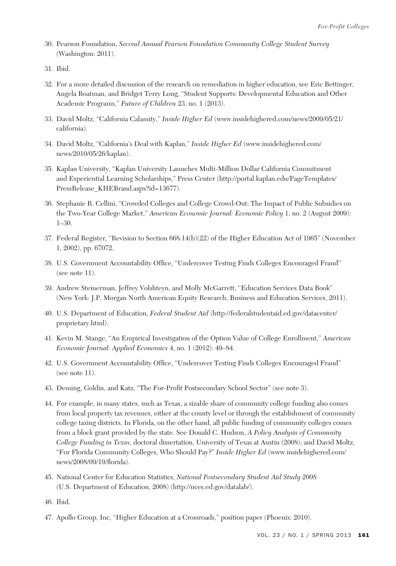- 30. Pearson Foundation, *Second Annual Pearson Foundation Community College Student Survey*  (Washington: 2011).
- 31. Ibid.
- 32. For a more detailed discussion of the research on remediation in higher education, see Eric Bettinger, Angela Boatman, and Bridget Terry Long, "Student Supports: Developmental Education and Other Academic Programs," *Future of Children* 23, no. 1 (2013).
- 33. David Moltz, "California Calamity," *Inside Higher Ed* (www.insidehighered.com/news/2009/05/21/ california).
- 34. David Moltz, "California's Deal with Kaplan," *Inside Higher Ed* (www.insidehighered.com/ news/2010/05/26/kaplan).
- 35. Kaplan University, "Kaplan University Launches Multi-Million Dollar California Commitment and Experiential Learning Scholarships," Press Center (http://portal.kaplan.edu/PageTemplates/ PressRelease\_KHEBrand.aspx?id=13677).
- 36. Stephanie R. Cellini, "Crowded Colleges and College Crowd-Out: The Impact of Public Subsidies on the Two-Year College Market," *American Economic Journal: Economic Policy* 1, no. 2 (August 2009): 1–30.
- 37. Federal Register, "Revision to Section 668.14(b)(22) of the Higher Education Act of 1965" (November 1, 2002), pp. 67072.
- 38. U.S. Government Accountability Office, "Undercover Testing Finds Colleges Encouraged Fraud" (see note 11).
- 39. Andrew Steinerman, Jeffrey Volshteyn, and Molly McGarrett, "Education Services Data Book" (New York: J.P. Morgan North American Equity Research, Business and Education Services, 2011).
- 40. U.S. Department of Education, *Federal Student Aid* (http://federalstudentaid.ed.gov/datacenter/ proprietary.html).
- 41. Kevin M. Stange, "An Empirical Investigation of the Option Value of College Enrollment," *American Economic Journal: Applied Economics* 4, no. 1 (2012): 49–84.
- 42. U.S. Government Accountability Office, "Undercover Testing Finds Colleges Encouraged Fraud" (see note 11).
- 43. Deming, Goldin, and Katz, "The For-Profit Postsecondary School Sector" (see note 3).
- 44. For example, in many states, such as Texas, a sizable share of community college funding also comes from local property tax revenues, either at the county level or through the establishment of community college taxing districts. In Florida, on the other hand, all public funding of community colleges comes from a block grant provided by the state. See Donald C. Hudson, *A Policy Analysis of Community College Funding in Texas,* doctoral dissertation, University of Texas at Austin (2008); and David Moltz, "For Florida Community Colleges, Who Should Pay?" *Inside Higher Ed* (www.insidehighered.com/ news/2008/09/19/florida).
- 45. National Center for Education Statistics, *National Postsecondary Student Aid Study 2008*  (U.S. Department of Education, 2008) (http://nces.ed.gov/datalab/).
- 46. Ibid.
- 47. Apollo Group, Inc, "Higher Education at a Crossroads," position paper (Phoenix: 2010).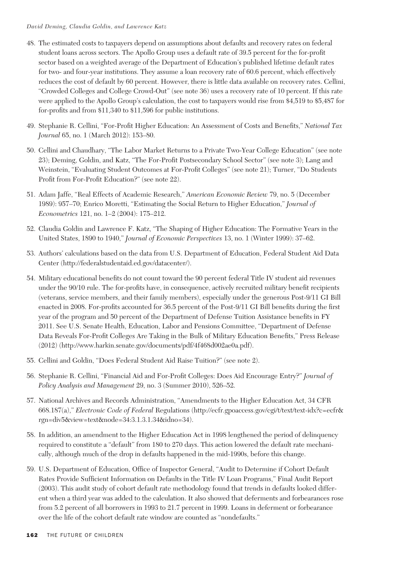#### *David Deming, Claudia Goldin, and Lawrence Katz*

- 48. The estimated costs to taxpayers depend on assumptions about defaults and recovery rates on federal student loans across sectors. The Apollo Group uses a default rate of 39.5 percent for the for-profit sector based on a weighted average of the Department of Education's published lifetime default rates for two- and four-year institutions. They assume a loan recovery rate of 60.6 percent, which effectively reduces the cost of default by 60 percent. However, there is little data available on recovery rates. Cellini, "Crowded Colleges and College Crowd-Out" (see note 36) uses a recovery rate of 10 percent. If this rate were applied to the Apollo Group's calculation, the cost to taxpayers would rise from \$4,519 to \$5,487 for for-profits and from \$11,340 to \$11,596 for public institutions.
- 49. Stephanie R. Cellini, "For-Profit Higher Education: An Assessment of Costs and Benefits," *National Tax Journal* 65, no. 1 (March 2012): 153–80.
- 50. Cellini and Chaudhary, "The Labor Market Returns to a Private Two-Year College Education" (see note 23); Deming, Goldin, and Katz, "The For-Profit Postsecondary School Sector" (see note 3); Lang and Weinstein, "Evaluating Student Outcomes at For-Profit Colleges" (see note 21); Turner, "Do Students Profit from For-Profit Education?" (see note 22).
- 51. Adam Jaffe, "Real Effects of Academic Research," *American Economic Review* 79, no. 5 (December 1989): 957–70; Enrico Moretti, "Estimating the Social Return to Higher Education," *Journal of Econometrics* 121, no. 1–2 (2004): 175–212.
- 52. Claudia Goldin and Lawrence F. Katz, "The Shaping of Higher Education: The Formative Years in the United States, 1890 to 1940," *Journal of Economic Perspectives* 13, no. 1 (Winter 1999): 37–62.
- 53. Authors' calculations based on the data from U.S. Department of Education, Federal Student Aid Data Center (http://federalstudentaid.ed.gov/datacenter/).
- 54. Military educational benefits do not count toward the 90 percent federal Title IV student aid revenues under the 90/10 rule. The for-profits have, in consequence, actively recruited military benefit recipients (veterans, service members, and their family members), especially under the generous Post-9/11 GI Bill enacted in 2008. For-profits accounted for 36.5 percent of the Post-9/11 GI Bill benefits during the first year of the program and 50 percent of the Department of Defense Tuition Assistance benefits in FY 2011. See U.S. Senate Health, Education, Labor and Pensions Committee, "Department of Defense Data Reveals For-Profit Colleges Are Taking in the Bulk of Military Education Benefits," Press Release (2012) (http://www.harkin.senate.gov/documents/pdf/4f468d002ae0a.pdf).
- 55. Cellini and Goldin, "Does Federal Student Aid Raise Tuition?" (see note 2).
- 56. Stephanie R. Cellini, "Financial Aid and For-Profit Colleges: Does Aid Encourage Entry?" *Journal of Policy Analysis and Management* 29, no. 3 (Summer 2010), 526–52.
- 57. National Archives and Records Administration, "Amendments to the Higher Education Act, 34 CFR 668.187(a)," *Electronic Code of Federal* Regulations (http://ecfr.gpoaccess.gov/cgi/t/text/text-idx?c=ecfr& rgn=div5&view=text&node=34:3.1.3.1.34&idno=34).
- 58. In addition, an amendment to the Higher Education Act in 1998 lengthened the period of delinquency required to constitute a "default" from 180 to 270 days. This action lowered the default rate mechanically, although much of the drop in defaults happened in the mid-1990s, before this change.
- 59. U.S. Department of Education, Office of Inspector General, "Audit to Determine if Cohort Default Rates Provide Sufficient Information on Defaults in the Title IV Loan Programs," Final Audit Report (2003). This audit study of cohort default rate methodology found that trends in defaults looked different when a third year was added to the calculation. It also showed that deferments and forbearances rose from 5.2 percent of all borrowers in 1993 to 21.7 percent in 1999. Loans in deferment or forbearance over the life of the cohort default rate window are counted as "nondefaults."